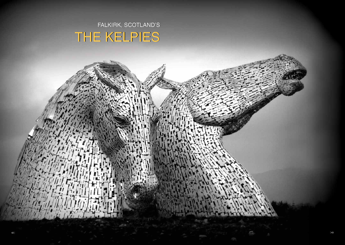